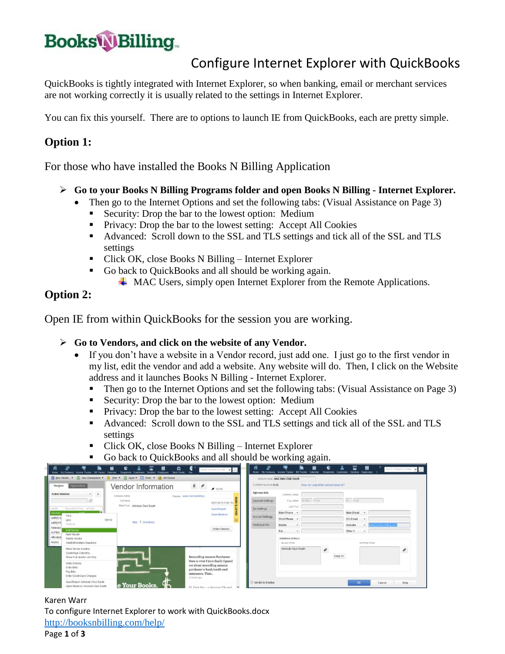# **BooksWBilling**

## Configure Internet Explorer with QuickBooks

QuickBooks is tightly integrated with Internet Explorer, so when banking, email or merchant services are not working correctly it is usually related to the settings in Internet Explorer.

You can fix this yourself. There are to options to launch IE from QuickBooks, each are pretty simple.

### **Option 1:**

For those who have installed the Books N Billing Application

- **Go to your Books N Billing Programs folder and open Books N Billing - Internet Explorer.**
	- Then go to the Internet Options and set the following tabs: (Visual Assistance on Page 3)
		- Security: Drop the bar to the lowest option: Medium
		- **Privacy:** Drop the bar to the lowest setting: Accept All Cookies
		- Advanced: Scroll down to the SSL and TLS settings and tick all of the SSL and TLS settings
		- Click OK, close Books N Billing Internet Explorer
		- Go back to QuickBooks and all should be working again.
			- $\overline{\phantom{a} \bullet}$  MAC Users, simply open Internet Explorer from the Remote Applications.

### **Option 2:**

Open IE from within QuickBooks for the session you are working.

#### **Go to Vendors, and click on the website of any Vendor.**

- If you don't have a website in a Vendor record, just add one. I just go to the first vendor in my list, edit the vendor and add a website. Any website will do. Then, I click on the Website address and it launches Books N Billing - Internet Explorer.
	- Then go to the Internet Options and set the following tabs: (Visual Assistance on Page 3)
	- Security: Drop the bar to the lowest option: Medium
	- **Privacy:** Drop the bar to the lowest setting: Accept All Cookies
	- Advanced: Scroll down to the SSL and TLS settings and tick all of the SSL and TLS settings
	- Click OK, close Books N Billing Internet Explorer
	- Go back to QuickBooks and all should be working again.



Karen Warr To configure Internet Explorer to work with QuickBooks.docx <http://booksnbilling.com/help/>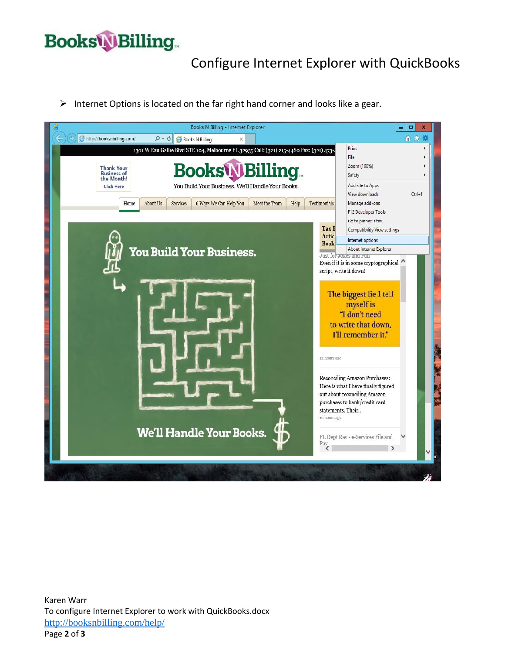## **Books Billing**

## Configure Internet Explorer with QuickBooks

 $\triangleright$  Internet Options is located on the far right hand corner and looks like a gear.